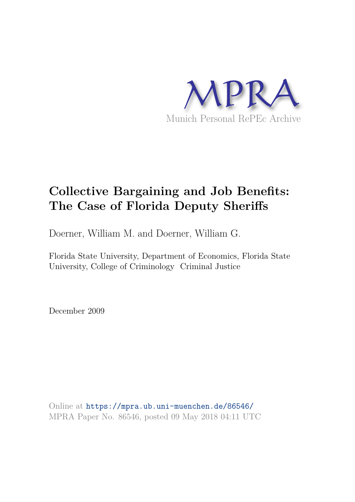

# **Collective Bargaining and Job Benefits: The Case of Florida Deputy Sheriffs**

Doerner, William M. and Doerner, William G.

Florida State University, Department of Economics, Florida State University, College of Criminology Criminal Justice

December 2009

Online at https://mpra.ub.uni-muenchen.de/86546/ MPRA Paper No. 86546, posted 09 May 2018 04:11 UTC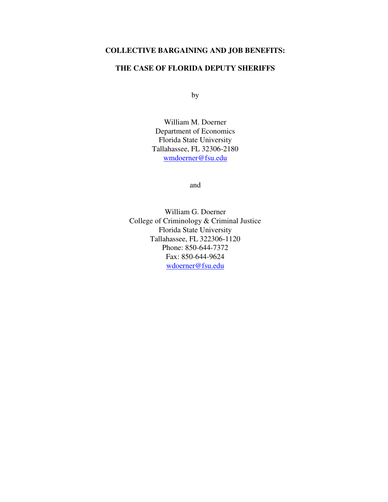## **COLLECTIVE BARGAINING AND JOB BENEFITS:**

### **THE CASE OF FLORIDA DEPUTY SHERIFFS**

by

William M. Doerner Department of Economics Florida State University Tallahassee, FL 32306-2180 [wmdoerner@fsu.edu](mailto:wmdoerner@fsu.edu)

and

William G. Doerner College of Criminology & Criminal Justice Florida State University Tallahassee, FL 322306-1120 Phone: 850-644-7372 Fax: 850-644-9624 [wdoerner@fsu.edu](mailto:wdoerner@fsu.edu)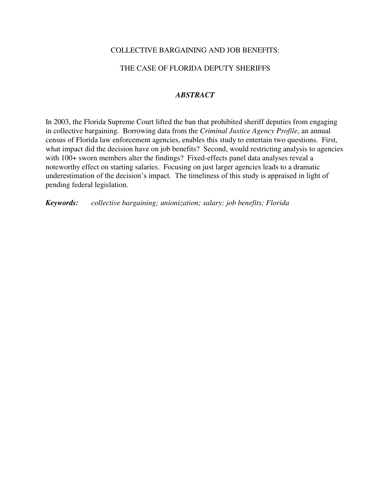### COLLECTIVE BARGAINING AND JOB BENEFITS:

### THE CASE OF FLORIDA DEPUTY SHERIFFS

### *ABSTRACT*

In 2003, the Florida Supreme Court lifted the ban that prohibited sheriff deputies from engaging in collective bargaining. Borrowing data from the *Criminal Justice Agency Profile*, an annual census of Florida law enforcement agencies, enables this study to entertain two questions. First, what impact did the decision have on job benefits? Second, would restricting analysis to agencies with 100+ sworn members alter the findings? Fixed-effects panel data analyses reveal a noteworthy effect on starting salaries. Focusing on just larger agencies leads to a dramatic underestimation of the decision's impact. The timeliness of this study is appraised in light of pending federal legislation.

*Keywords: collective bargaining; unionization; salary; job benefits; Florida*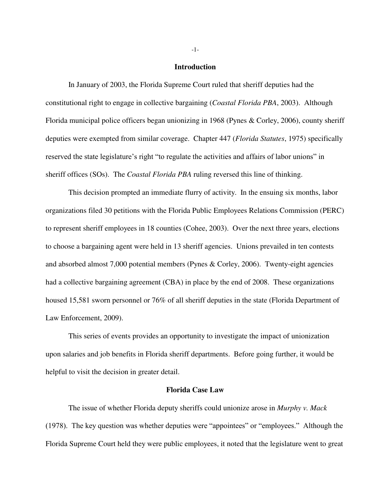#### **Introduction**

 In January of 2003, the Florida Supreme Court ruled that sheriff deputies had the constitutional right to engage in collective bargaining (*Coastal Florida PBA*, 2003). Although Florida municipal police officers began unionizing in 1968 (Pynes & Corley, 2006), county sheriff deputies were exempted from similar coverage. Chapter 447 (*Florida Statutes*, 1975) specifically reserved the state legislature's right "to regulate the activities and affairs of labor unions" in sheriff offices (SOs). The *Coastal Florida PBA* ruling reversed this line of thinking.

 This decision prompted an immediate flurry of activity. In the ensuing six months, labor organizations filed 30 petitions with the Florida Public Employees Relations Commission (PERC) to represent sheriff employees in 18 counties (Cohee, 2003). Over the next three years, elections to choose a bargaining agent were held in 13 sheriff agencies. Unions prevailed in ten contests and absorbed almost 7,000 potential members (Pynes & Corley, 2006). Twenty-eight agencies had a collective bargaining agreement (CBA) in place by the end of 2008. These organizations housed 15,581 sworn personnel or 76% of all sheriff deputies in the state (Florida Department of Law Enforcement, 2009).

 This series of events provides an opportunity to investigate the impact of unionization upon salaries and job benefits in Florida sheriff departments. Before going further, it would be helpful to visit the decision in greater detail.

#### **Florida Case Law**

The issue of whether Florida deputy sheriffs could unionize arose in *Murphy v. Mack* (1978). The key question was whether deputies were "appointees" or "employees." Although the Florida Supreme Court held they were public employees, it noted that the legislature went to great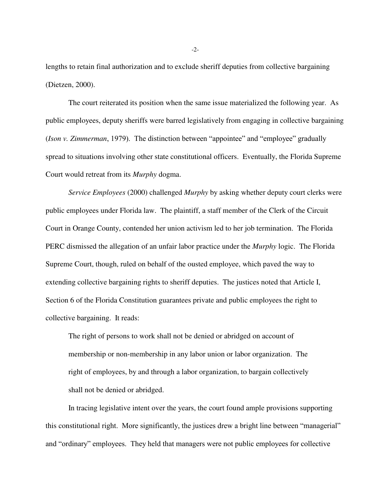lengths to retain final authorization and to exclude sheriff deputies from collective bargaining (Dietzen, 2000).

 The court reiterated its position when the same issue materialized the following year. As public employees, deputy sheriffs were barred legislatively from engaging in collective bargaining (*Ison v. Zimmerman*, 1979). The distinction between "appointee" and "employee" gradually spread to situations involving other state constitutional officers. Eventually, the Florida Supreme Court would retreat from its *Murphy* dogma.

*Service Employees* (2000) challenged *Murphy* by asking whether deputy court clerks were public employees under Florida law. The plaintiff, a staff member of the Clerk of the Circuit Court in Orange County, contended her union activism led to her job termination. The Florida PERC dismissed the allegation of an unfair labor practice under the *Murphy* logic. The Florida Supreme Court, though, ruled on behalf of the ousted employee, which paved the way to extending collective bargaining rights to sheriff deputies. The justices noted that Article I, Section 6 of the Florida Constitution guarantees private and public employees the right to collective bargaining. It reads:

The right of persons to work shall not be denied or abridged on account of membership or non-membership in any labor union or labor organization. The right of employees, by and through a labor organization, to bargain collectively shall not be denied or abridged.

 In tracing legislative intent over the years, the court found ample provisions supporting this constitutional right. More significantly, the justices drew a bright line between "managerial" and "ordinary" employees. They held that managers were not public employees for collective

-2-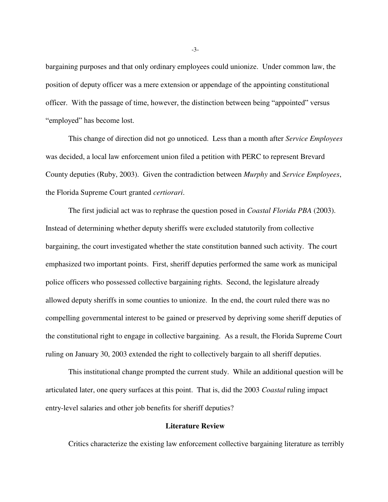bargaining purposes and that only ordinary employees could unionize. Under common law, the position of deputy officer was a mere extension or appendage of the appointing constitutional officer. With the passage of time, however, the distinction between being "appointed" versus "employed" has become lost.

 This change of direction did not go unnoticed. Less than a month after *Service Employees* was decided, a local law enforcement union filed a petition with PERC to represent Brevard County deputies (Ruby, 2003). Given the contradiction between *Murphy* and *Service Employees*, the Florida Supreme Court granted *certiorari*.

 The first judicial act was to rephrase the question posed in *Coastal Florida PBA* (2003). Instead of determining whether deputy sheriffs were excluded statutorily from collective bargaining, the court investigated whether the state constitution banned such activity. The court emphasized two important points. First, sheriff deputies performed the same work as municipal police officers who possessed collective bargaining rights. Second, the legislature already allowed deputy sheriffs in some counties to unionize. In the end, the court ruled there was no compelling governmental interest to be gained or preserved by depriving some sheriff deputies of the constitutional right to engage in collective bargaining. As a result, the Florida Supreme Court ruling on January 30, 2003 extended the right to collectively bargain to all sheriff deputies.

 This institutional change prompted the current study. While an additional question will be articulated later, one query surfaces at this point. That is, did the 2003 *Coastal* ruling impact entry-level salaries and other job benefits for sheriff deputies?

#### **Literature Review**

Critics characterize the existing law enforcement collective bargaining literature as terribly

-3-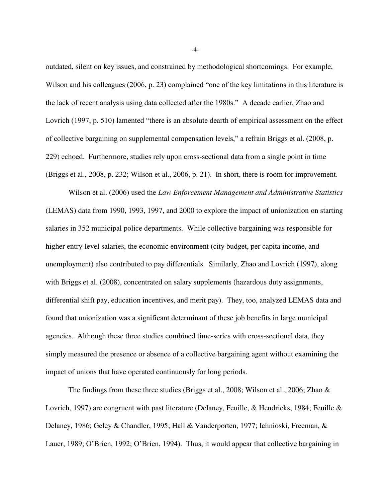outdated, silent on key issues, and constrained by methodological shortcomings. For example, Wilson and his colleagues (2006, p. 23) complained "one of the key limitations in this literature is the lack of recent analysis using data collected after the 1980s." A decade earlier, Zhao and Lovrich (1997, p. 510) lamented "there is an absolute dearth of empirical assessment on the effect of collective bargaining on supplemental compensation levels," a refrain Briggs et al. (2008, p. 229) echoed. Furthermore, studies rely upon cross-sectional data from a single point in time (Briggs et al., 2008, p. 232; Wilson et al., 2006, p. 21). In short, there is room for improvement.

 Wilson et al. (2006) used the *Law Enforcement Management and Administrative Statistics* (LEMAS) data from 1990, 1993, 1997, and 2000 to explore the impact of unionization on starting salaries in 352 municipal police departments. While collective bargaining was responsible for higher entry-level salaries, the economic environment (city budget, per capita income, and unemployment) also contributed to pay differentials. Similarly, Zhao and Lovrich (1997), along with Briggs et al. (2008), concentrated on salary supplements (hazardous duty assignments, differential shift pay, education incentives, and merit pay). They, too, analyzed LEMAS data and found that unionization was a significant determinant of these job benefits in large municipal agencies. Although these three studies combined time-series with cross-sectional data, they simply measured the presence or absence of a collective bargaining agent without examining the impact of unions that have operated continuously for long periods.

The findings from these three studies (Briggs et al., 2008; Wilson et al., 2006; Zhao  $\&$ Lovrich, 1997) are congruent with past literature (Delaney, Feuille, & Hendricks, 1984; Feuille & Delaney, 1986; Geley & Chandler, 1995; Hall & Vanderporten, 1977; Ichnioski, Freeman, & Lauer, 1989; O'Brien, 1992; O'Brien, 1994). Thus, it would appear that collective bargaining in

-4-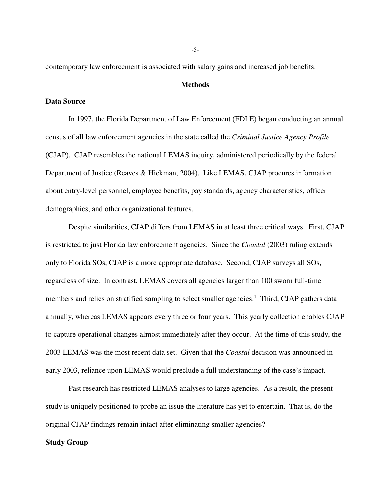contemporary law enforcement is associated with salary gains and increased job benefits.

#### **Methods**

#### **Data Source**

 In 1997, the Florida Department of Law Enforcement (FDLE) began conducting an annual census of all law enforcement agencies in the state called the *Criminal Justice Agency Profile* (CJAP). CJAP resembles the national LEMAS inquiry, administered periodically by the federal Department of Justice (Reaves & Hickman, 2004). Like LEMAS, CJAP procures information about entry-level personnel, employee benefits, pay standards, agency characteristics, officer demographics, and other organizational features.

 Despite similarities, CJAP differs from LEMAS in at least three critical ways. First, CJAP is restricted to just Florida law enforcement agencies. Since the *Coastal* (2003) ruling extends only to Florida SOs, CJAP is a more appropriate database. Second, CJAP surveys all SOs, regardless of size. In contrast, LEMAS covers all agencies larger than 100 sworn full-time members and relies on stratified sampling to select smaller agencies.<sup>1</sup> Third, CJAP gathers data annually, whereas LEMAS appears every three or four years. This yearly collection enables CJAP to capture operational changes almost immediately after they occur. At the time of this study, the 2003 LEMAS was the most recent data set. Given that the *Coastal* decision was announced in early 2003, reliance upon LEMAS would preclude a full understanding of the case's impact.

 Past research has restricted LEMAS analyses to large agencies. As a result, the present study is uniquely positioned to probe an issue the literature has yet to entertain. That is, do the original CJAP findings remain intact after eliminating smaller agencies?

#### **Study Group**

-5-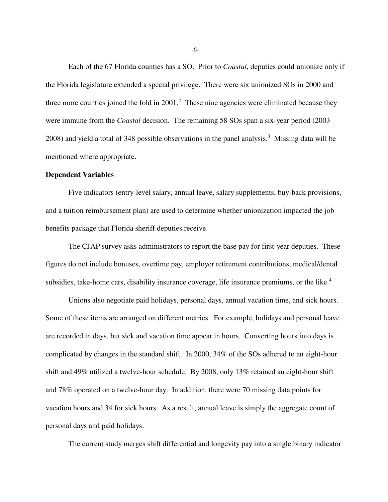Each of the 67 Florida counties has a SO. Prior to *Coastal*, deputies could unionize only if the Florida legislature extended a special privilege. There were six unionized SOs in 2000 and three more counties joined the fold in  $2001$ .<sup>2</sup> These nine agencies were eliminated because they were immune from the *Coastal* decision. The remaining 58 SOs span a six-year period (2003– 2008) and yield a total of 348 possible observations in the panel analysis.<sup>3</sup> Missing data will be mentioned where appropriate.

#### **Dependent Variables**

Five indicators (entry-level salary, annual leave, salary supplements, buy-back provisions, and a tuition reimbursement plan) are used to determine whether unionization impacted the job benefits package that Florida sheriff deputies receive.

 The CJAP survey asks administrators to report the base pay for first-year deputies. These figures do not include bonuses, overtime pay, employer retirement contributions, medical/dental subsidies, take-home cars, disability insurance coverage, life insurance premiums, or the like.<sup>4</sup>

 Unions also negotiate paid holidays, personal days, annual vacation time, and sick hours. Some of these items are arranged on different metrics. For example, holidays and personal leave are recorded in days, but sick and vacation time appear in hours. Converting hours into days is complicated by changes in the standard shift. In 2000, 34% of the SOs adhered to an eight-hour shift and 49% utilized a twelve-hour schedule. By 2008, only 13% retained an eight-hour shift and 78% operated on a twelve-hour day. In addition, there were 70 missing data points for vacation hours and 34 for sick hours. As a result, annual leave is simply the aggregate count of personal days and paid holidays.

The current study merges shift differential and longevity pay into a single binary indicator

-6-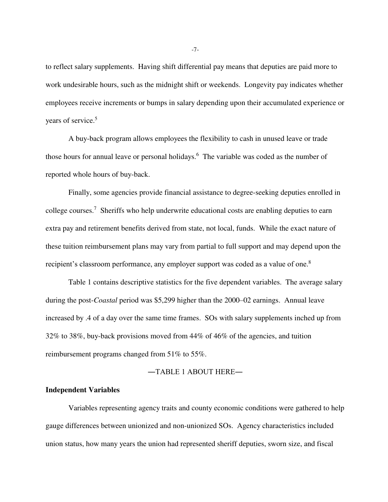to reflect salary supplements. Having shift differential pay means that deputies are paid more to work undesirable hours, such as the midnight shift or weekends. Longevity pay indicates whether employees receive increments or bumps in salary depending upon their accumulated experience or years of service.<sup>5</sup>

 A buy-back program allows employees the flexibility to cash in unused leave or trade those hours for annual leave or personal holidays.<sup>6</sup> The variable was coded as the number of reported whole hours of buy-back.

 Finally, some agencies provide financial assistance to degree-seeking deputies enrolled in college courses.<sup>7</sup> Sheriffs who help underwrite educational costs are enabling deputies to earn extra pay and retirement benefits derived from state, not local, funds. While the exact nature of these tuition reimbursement plans may vary from partial to full support and may depend upon the recipient's classroom performance, any employer support was coded as a value of one.<sup>8</sup>

 Table 1 contains descriptive statistics for the five dependent variables. The average salary during the post-*Coastal* period was \$5,299 higher than the 2000–02 earnings. Annual leave increased by .4 of a day over the same time frames. SOs with salary supplements inched up from 32% to 38%, buy-back provisions moved from 44% of 46% of the agencies, and tuition reimbursement programs changed from 51% to 55%.

#### ―TABLE 1 ABOUT HERE―

#### **Independent Variables**

 Variables representing agency traits and county economic conditions were gathered to help gauge differences between unionized and non-unionized SOs. Agency characteristics included union status, how many years the union had represented sheriff deputies, sworn size, and fiscal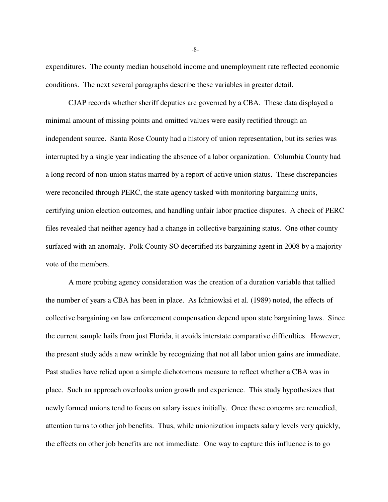expenditures. The county median household income and unemployment rate reflected economic conditions. The next several paragraphs describe these variables in greater detail.

 CJAP records whether sheriff deputies are governed by a CBA. These data displayed a minimal amount of missing points and omitted values were easily rectified through an independent source. Santa Rose County had a history of union representation, but its series was interrupted by a single year indicating the absence of a labor organization. Columbia County had a long record of non-union status marred by a report of active union status. These discrepancies were reconciled through PERC, the state agency tasked with monitoring bargaining units, certifying union election outcomes, and handling unfair labor practice disputes. A check of PERC files revealed that neither agency had a change in collective bargaining status. One other county surfaced with an anomaly. Polk County SO decertified its bargaining agent in 2008 by a majority vote of the members.

 A more probing agency consideration was the creation of a duration variable that tallied the number of years a CBA has been in place. As Ichniowksi et al. (1989) noted, the effects of collective bargaining on law enforcement compensation depend upon state bargaining laws. Since the current sample hails from just Florida, it avoids interstate comparative difficulties. However, the present study adds a new wrinkle by recognizing that not all labor union gains are immediate. Past studies have relied upon a simple dichotomous measure to reflect whether a CBA was in place. Such an approach overlooks union growth and experience. This study hypothesizes that newly formed unions tend to focus on salary issues initially. Once these concerns are remedied, attention turns to other job benefits. Thus, while unionization impacts salary levels very quickly, the effects on other job benefits are not immediate. One way to capture this influence is to go

-8-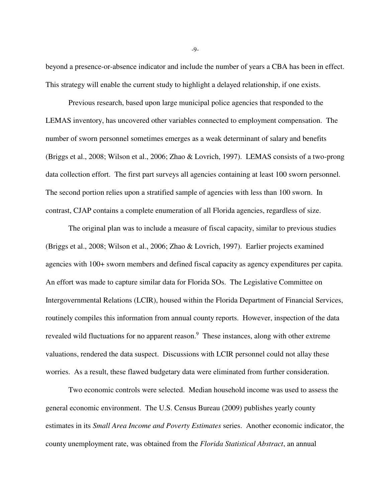beyond a presence-or-absence indicator and include the number of years a CBA has been in effect. This strategy will enable the current study to highlight a delayed relationship, if one exists.

 Previous research, based upon large municipal police agencies that responded to the LEMAS inventory, has uncovered other variables connected to employment compensation. The number of sworn personnel sometimes emerges as a weak determinant of salary and benefits (Briggs et al., 2008; Wilson et al., 2006; Zhao & Lovrich, 1997). LEMAS consists of a two-prong data collection effort. The first part surveys all agencies containing at least 100 sworn personnel. The second portion relies upon a stratified sample of agencies with less than 100 sworn. In contrast, CJAP contains a complete enumeration of all Florida agencies, regardless of size.

 The original plan was to include a measure of fiscal capacity, similar to previous studies (Briggs et al., 2008; Wilson et al., 2006; Zhao & Lovrich, 1997). Earlier projects examined agencies with 100+ sworn members and defined fiscal capacity as agency expenditures per capita. An effort was made to capture similar data for Florida SOs. The Legislative Committee on Intergovernmental Relations (LCIR), housed within the Florida Department of Financial Services, routinely compiles this information from annual county reports. However, inspection of the data revealed wild fluctuations for no apparent reason.<sup>9</sup> These instances, along with other extreme valuations, rendered the data suspect. Discussions with LCIR personnel could not allay these worries. As a result, these flawed budgetary data were eliminated from further consideration.

 Two economic controls were selected. Median household income was used to assess the general economic environment. The U.S. Census Bureau (2009) publishes yearly county estimates in its *Small Area Income and Poverty Estimates* series. Another economic indicator, the county unemployment rate, was obtained from the *Florida Statistical Abstract*, an annual

-9-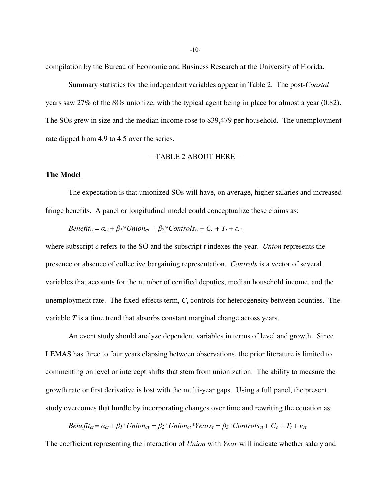compilation by the Bureau of Economic and Business Research at the University of Florida.

 Summary statistics for the independent variables appear in Table 2. The post-*Coastal* years saw 27% of the SOs unionize, with the typical agent being in place for almost a year (0.82). The SOs grew in size and the median income rose to \$39,479 per household. The unemployment rate dipped from 4.9 to 4.5 over the series.

—TABLE 2 ABOUT HERE—

#### **The Model**

 The expectation is that unionized SOs will have, on average, higher salaries and increased fringe benefits. A panel or longitudinal model could conceptualize these claims as:

 *Benefit<sub>ct</sub>* =  $\alpha_{ct} + \beta_1 * Union_{ct} + \beta_2 * Controls_{ct} + C_c + T_t + \varepsilon_{ct}$ 

where subscript *c* refers to the SO and the subscript *t* indexes the year. *Union* represents the presence or absence of collective bargaining representation. *Controls* is a vector of several variables that accounts for the number of certified deputies, median household income, and the unemployment rate. The fixed-effects term, *C*, controls for heterogeneity between counties. The variable *T* is a time trend that absorbs constant marginal change across years.

An event study should analyze dependent variables in terms of level and growth. Since LEMAS has three to four years elapsing between observations, the prior literature is limited to commenting on level or intercept shifts that stem from unionization. The ability to measure the growth rate or first derivative is lost with the multi-year gaps. Using a full panel, the present study overcomes that hurdle by incorporating changes over time and rewriting the equation as:

Benefit<sub>ct</sub> =  $a_{ct} + \beta_1 * Union_{ct} + \beta_2 * Union_{ct} * Years_t + \beta_3 * Controls_{ct} + C_c + T_t + \varepsilon_{ct}$ 

The coefficient representing the interaction of *Union* with *Year* will indicate whether salary and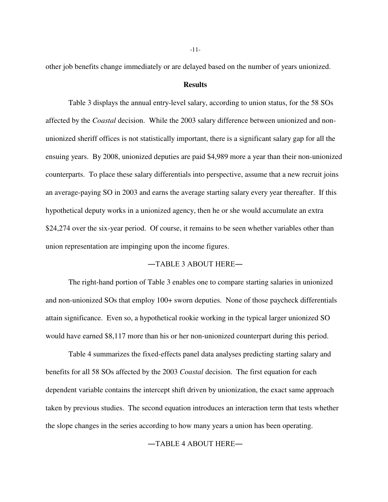other job benefits change immediately or are delayed based on the number of years unionized.

#### **Results**

 Table 3 displays the annual entry-level salary, according to union status, for the 58 SOs affected by the *Coastal* decision. While the 2003 salary difference between unionized and nonunionized sheriff offices is not statistically important, there is a significant salary gap for all the ensuing years. By 2008, unionized deputies are paid \$4,989 more a year than their non-unionized counterparts. To place these salary differentials into perspective, assume that a new recruit joins an average-paying SO in 2003 and earns the average starting salary every year thereafter. If this hypothetical deputy works in a unionized agency, then he or she would accumulate an extra \$24,274 over the six-year period. Of course, it remains to be seen whether variables other than union representation are impinging upon the income figures.

#### ―TABLE 3 ABOUT HERE―

 The right-hand portion of Table 3 enables one to compare starting salaries in unionized and non-unionized SOs that employ 100+ sworn deputies. None of those paycheck differentials attain significance. Even so, a hypothetical rookie working in the typical larger unionized SO would have earned \$8,117 more than his or her non-unionized counterpart during this period.

 Table 4 summarizes the fixed-effects panel data analyses predicting starting salary and benefits for all 58 SOs affected by the 2003 *Coastal* decision. The first equation for each dependent variable contains the intercept shift driven by unionization, the exact same approach taken by previous studies. The second equation introduces an interaction term that tests whether the slope changes in the series according to how many years a union has been operating.

―TABLE 4 ABOUT HERE―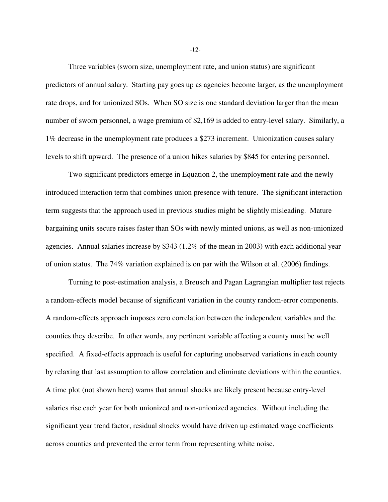Three variables (sworn size, unemployment rate, and union status) are significant predictors of annual salary. Starting pay goes up as agencies become larger, as the unemployment rate drops, and for unionized SOs. When SO size is one standard deviation larger than the mean number of sworn personnel, a wage premium of \$2,169 is added to entry-level salary. Similarly, a 1% decrease in the unemployment rate produces a \$273 increment. Unionization causes salary levels to shift upward. The presence of a union hikes salaries by \$845 for entering personnel.

 Two significant predictors emerge in Equation 2, the unemployment rate and the newly introduced interaction term that combines union presence with tenure. The significant interaction term suggests that the approach used in previous studies might be slightly misleading. Mature bargaining units secure raises faster than SOs with newly minted unions, as well as non-unionized agencies. Annual salaries increase by \$343 (1.2% of the mean in 2003) with each additional year of union status. The 74% variation explained is on par with the Wilson et al. (2006) findings.

 Turning to post-estimation analysis, a Breusch and Pagan Lagrangian multiplier test rejects a random-effects model because of significant variation in the county random-error components. A random-effects approach imposes zero correlation between the independent variables and the counties they describe. In other words, any pertinent variable affecting a county must be well specified. A fixed-effects approach is useful for capturing unobserved variations in each county by relaxing that last assumption to allow correlation and eliminate deviations within the counties. A time plot (not shown here) warns that annual shocks are likely present because entry-level salaries rise each year for both unionized and non-unionized agencies. Without including the significant year trend factor, residual shocks would have driven up estimated wage coefficients across counties and prevented the error term from representing white noise.

-12-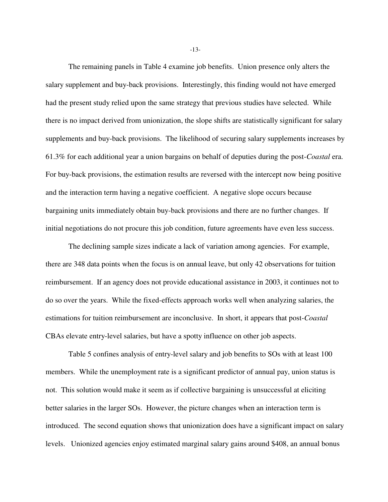The remaining panels in Table 4 examine job benefits. Union presence only alters the salary supplement and buy-back provisions. Interestingly, this finding would not have emerged had the present study relied upon the same strategy that previous studies have selected. While there is no impact derived from unionization, the slope shifts are statistically significant for salary supplements and buy-back provisions. The likelihood of securing salary supplements increases by 61.3% for each additional year a union bargains on behalf of deputies during the post-*Coastal* era. For buy-back provisions, the estimation results are reversed with the intercept now being positive and the interaction term having a negative coefficient. A negative slope occurs because bargaining units immediately obtain buy-back provisions and there are no further changes. If initial negotiations do not procure this job condition, future agreements have even less success.

 The declining sample sizes indicate a lack of variation among agencies. For example, there are 348 data points when the focus is on annual leave, but only 42 observations for tuition reimbursement. If an agency does not provide educational assistance in 2003, it continues not to do so over the years. While the fixed-effects approach works well when analyzing salaries, the estimations for tuition reimbursement are inconclusive. In short, it appears that post-*Coastal* CBAs elevate entry-level salaries, but have a spotty influence on other job aspects.

 Table 5 confines analysis of entry-level salary and job benefits to SOs with at least 100 members. While the unemployment rate is a significant predictor of annual pay, union status is not. This solution would make it seem as if collective bargaining is unsuccessful at eliciting better salaries in the larger SOs. However, the picture changes when an interaction term is introduced. The second equation shows that unionization does have a significant impact on salary levels. Unionized agencies enjoy estimated marginal salary gains around \$408, an annual bonus

-13-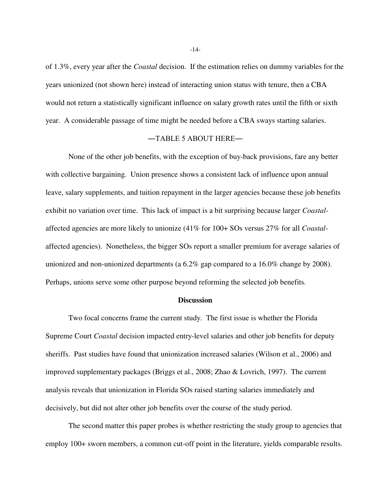of 1.3%, every year after the *Coastal* decision. If the estimation relies on dummy variables for the years unionized (not shown here) instead of interacting union status with tenure, then a CBA would not return a statistically significant influence on salary growth rates until the fifth or sixth year. A considerable passage of time might be needed before a CBA sways starting salaries.

#### ―TABLE 5 ABOUT HERE―

 None of the other job benefits, with the exception of buy-back provisions, fare any better with collective bargaining. Union presence shows a consistent lack of influence upon annual leave, salary supplements, and tuition repayment in the larger agencies because these job benefits exhibit no variation over time. This lack of impact is a bit surprising because larger *Coastal*affected agencies are more likely to unionize (41% for 100+ SOs versus 27% for all *Coastal*affected agencies). Nonetheless, the bigger SOs report a smaller premium for average salaries of unionized and non-unionized departments (a 6.2% gap compared to a 16.0% change by 2008). Perhaps, unions serve some other purpose beyond reforming the selected job benefits.

#### **Discussion**

Two focal concerns frame the current study. The first issue is whether the Florida Supreme Court *Coastal* decision impacted entry-level salaries and other job benefits for deputy sheriffs. Past studies have found that unionization increased salaries (Wilson et al., 2006) and improved supplementary packages (Briggs et al., 2008; Zhao & Lovrich, 1997). The current analysis reveals that unionization in Florida SOs raised starting salaries immediately and decisively, but did not alter other job benefits over the course of the study period.

 The second matter this paper probes is whether restricting the study group to agencies that employ 100+ sworn members, a common cut-off point in the literature, yields comparable results.

-14-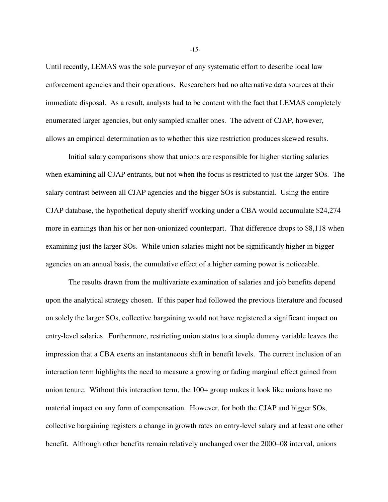Until recently, LEMAS was the sole purveyor of any systematic effort to describe local law enforcement agencies and their operations. Researchers had no alternative data sources at their immediate disposal. As a result, analysts had to be content with the fact that LEMAS completely enumerated larger agencies, but only sampled smaller ones. The advent of CJAP, however, allows an empirical determination as to whether this size restriction produces skewed results.

 Initial salary comparisons show that unions are responsible for higher starting salaries when examining all CJAP entrants, but not when the focus is restricted to just the larger SOs. The salary contrast between all CJAP agencies and the bigger SOs is substantial. Using the entire CJAP database, the hypothetical deputy sheriff working under a CBA would accumulate \$24,274 more in earnings than his or her non-unionized counterpart. That difference drops to \$8,118 when examining just the larger SOs. While union salaries might not be significantly higher in bigger agencies on an annual basis, the cumulative effect of a higher earning power is noticeable.

 The results drawn from the multivariate examination of salaries and job benefits depend upon the analytical strategy chosen. If this paper had followed the previous literature and focused on solely the larger SOs, collective bargaining would not have registered a significant impact on entry-level salaries. Furthermore, restricting union status to a simple dummy variable leaves the impression that a CBA exerts an instantaneous shift in benefit levels. The current inclusion of an interaction term highlights the need to measure a growing or fading marginal effect gained from union tenure. Without this interaction term, the 100+ group makes it look like unions have no material impact on any form of compensation. However, for both the CJAP and bigger SOs, collective bargaining registers a change in growth rates on entry-level salary and at least one other benefit. Although other benefits remain relatively unchanged over the 2000–08 interval, unions

-15-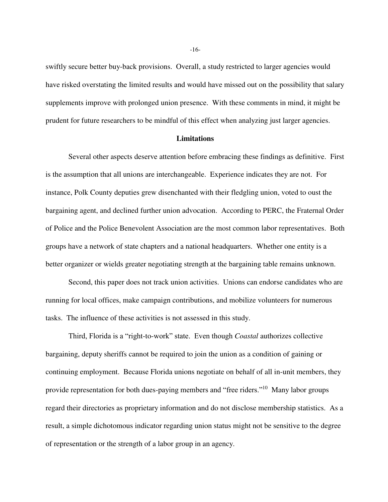swiftly secure better buy-back provisions. Overall, a study restricted to larger agencies would have risked overstating the limited results and would have missed out on the possibility that salary supplements improve with prolonged union presence. With these comments in mind, it might be prudent for future researchers to be mindful of this effect when analyzing just larger agencies.

#### **Limitations**

 Several other aspects deserve attention before embracing these findings as definitive. First is the assumption that all unions are interchangeable. Experience indicates they are not. For instance, Polk County deputies grew disenchanted with their fledgling union, voted to oust the bargaining agent, and declined further union advocation. According to PERC, the Fraternal Order of Police and the Police Benevolent Association are the most common labor representatives. Both groups have a network of state chapters and a national headquarters. Whether one entity is a better organizer or wields greater negotiating strength at the bargaining table remains unknown.

 Second, this paper does not track union activities. Unions can endorse candidates who are running for local offices, make campaign contributions, and mobilize volunteers for numerous tasks. The influence of these activities is not assessed in this study.

Third, Florida is a "right-to-work" state. Even though *Coastal* authorizes collective bargaining, deputy sheriffs cannot be required to join the union as a condition of gaining or continuing employment. Because Florida unions negotiate on behalf of all in-unit members, they provide representation for both dues-paying members and "free riders."<sup>10</sup> Many labor groups regard their directories as proprietary information and do not disclose membership statistics. As a result, a simple dichotomous indicator regarding union status might not be sensitive to the degree of representation or the strength of a labor group in an agency.

-16-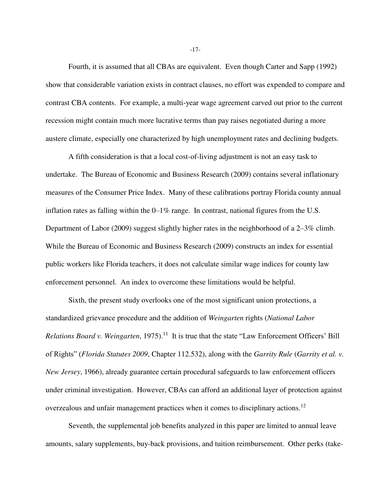Fourth, it is assumed that all CBAs are equivalent. Even though Carter and Sapp (1992) show that considerable variation exists in contract clauses, no effort was expended to compare and contrast CBA contents. For example, a multi-year wage agreement carved out prior to the current recession might contain much more lucrative terms than pay raises negotiated during a more austere climate, especially one characterized by high unemployment rates and declining budgets.

 A fifth consideration is that a local cost-of-living adjustment is not an easy task to undertake. The Bureau of Economic and Business Research (2009) contains several inflationary measures of the Consumer Price Index. Many of these calibrations portray Florida county annual inflation rates as falling within the 0–1% range. In contrast, national figures from the U.S. Department of Labor (2009) suggest slightly higher rates in the neighborhood of a 2–3% climb. While the Bureau of Economic and Business Research (2009) constructs an index for essential public workers like Florida teachers, it does not calculate similar wage indices for county law enforcement personnel. An index to overcome these limitations would be helpful.

 Sixth, the present study overlooks one of the most significant union protections, a standardized grievance procedure and the addition of *Weingarten* rights (*National Labor*  Relations Board v. Weingarten, 1975).<sup>11</sup> It is true that the state "Law Enforcement Officers' Bill of Rights" (*Florida Statutes 2009*, Chapter 112.532), along with the *Garrity Rule* (*Garrity et al. v. New Jersey*, 1966), already guarantee certain procedural safeguards to law enforcement officers under criminal investigation. However, CBAs can afford an additional layer of protection against overzealous and unfair management practices when it comes to disciplinary actions.<sup>12</sup>

 Seventh, the supplemental job benefits analyzed in this paper are limited to annual leave amounts, salary supplements, buy-back provisions, and tuition reimbursement. Other perks (take-

-17-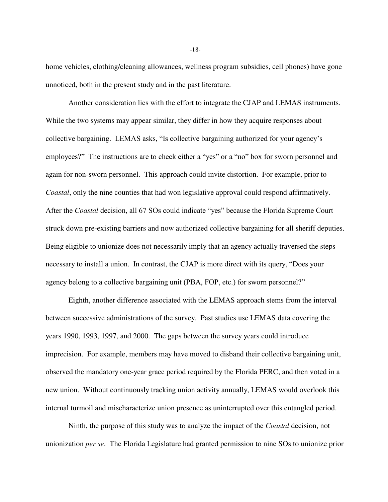home vehicles, clothing/cleaning allowances, wellness program subsidies, cell phones) have gone unnoticed, both in the present study and in the past literature.

 Another consideration lies with the effort to integrate the CJAP and LEMAS instruments. While the two systems may appear similar, they differ in how they acquire responses about collective bargaining. LEMAS asks, "Is collective bargaining authorized for your agency's employees?" The instructions are to check either a "yes" or a "no" box for sworn personnel and again for non-sworn personnel. This approach could invite distortion. For example, prior to *Coastal*, only the nine counties that had won legislative approval could respond affirmatively. After the *Coastal* decision, all 67 SOs could indicate "yes" because the Florida Supreme Court struck down pre-existing barriers and now authorized collective bargaining for all sheriff deputies. Being eligible to unionize does not necessarily imply that an agency actually traversed the steps necessary to install a union. In contrast, the CJAP is more direct with its query, "Does your agency belong to a collective bargaining unit (PBA, FOP, etc.) for sworn personnel?"

 Eighth, another difference associated with the LEMAS approach stems from the interval between successive administrations of the survey. Past studies use LEMAS data covering the years 1990, 1993, 1997, and 2000. The gaps between the survey years could introduce imprecision. For example, members may have moved to disband their collective bargaining unit, observed the mandatory one-year grace period required by the Florida PERC, and then voted in a new union. Without continuously tracking union activity annually, LEMAS would overlook this internal turmoil and mischaracterize union presence as uninterrupted over this entangled period.

 Ninth, the purpose of this study was to analyze the impact of the *Coastal* decision, not unionization *per se*. The Florida Legislature had granted permission to nine SOs to unionize prior

-18-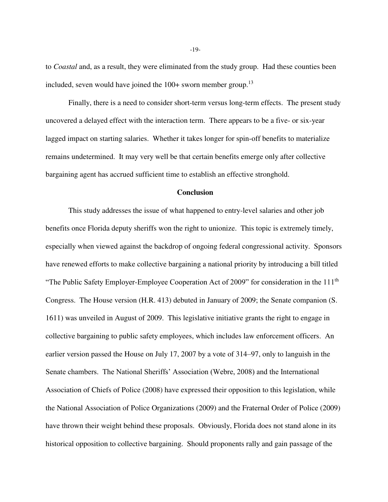to *Coastal* and, as a result, they were eliminated from the study group. Had these counties been included, seven would have joined the  $100+$  sworn member group.<sup>13</sup>

 Finally, there is a need to consider short-term versus long-term effects. The present study uncovered a delayed effect with the interaction term. There appears to be a five- or six-year lagged impact on starting salaries. Whether it takes longer for spin-off benefits to materialize remains undetermined. It may very well be that certain benefits emerge only after collective bargaining agent has accrued sufficient time to establish an effective stronghold.

#### **Conclusion**

 This study addresses the issue of what happened to entry-level salaries and other job benefits once Florida deputy sheriffs won the right to unionize. This topic is extremely timely, especially when viewed against the backdrop of ongoing federal congressional activity. Sponsors have renewed efforts to make collective bargaining a national priority by introducing a bill titled "The Public Safety Employer-Employee Cooperation Act of 2009" for consideration in the 111<sup>th</sup> Congress. The House version (H.R. 413) debuted in January of 2009; the Senate companion (S. 1611) was unveiled in August of 2009. This legislative initiative grants the right to engage in collective bargaining to public safety employees, which includes law enforcement officers. An earlier version passed the House on July 17, 2007 by a vote of 314–97, only to languish in the Senate chambers. The National Sheriffs' Association (Webre, 2008) and the International Association of Chiefs of Police (2008) have expressed their opposition to this legislation, while the National Association of Police Organizations (2009) and the Fraternal Order of Police (2009) have thrown their weight behind these proposals. Obviously, Florida does not stand alone in its historical opposition to collective bargaining. Should proponents rally and gain passage of the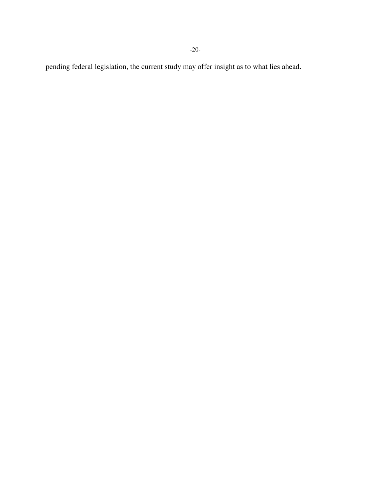-20-

pending federal legislation, the current study may offer insight as to what lies ahead.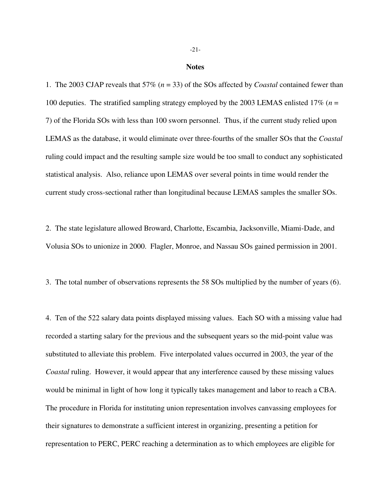#### **Notes**

1. The 2003 CJAP reveals that 57% (*n* = 33) of the SOs affected by *Coastal* contained fewer than 100 deputies. The stratified sampling strategy employed by the 2003 LEMAS enlisted 17% (*n* = 7) of the Florida SOs with less than 100 sworn personnel. Thus, if the current study relied upon LEMAS as the database, it would eliminate over three-fourths of the smaller SOs that the *Coastal* ruling could impact and the resulting sample size would be too small to conduct any sophisticated statistical analysis. Also, reliance upon LEMAS over several points in time would render the current study cross-sectional rather than longitudinal because LEMAS samples the smaller SOs.

2. The state legislature allowed Broward, Charlotte, Escambia, Jacksonville, Miami-Dade, and Volusia SOs to unionize in 2000. Flagler, Monroe, and Nassau SOs gained permission in 2001.

3. The total number of observations represents the 58 SOs multiplied by the number of years (6).

4. Ten of the 522 salary data points displayed missing values. Each SO with a missing value had recorded a starting salary for the previous and the subsequent years so the mid-point value was substituted to alleviate this problem. Five interpolated values occurred in 2003, the year of the *Coastal* ruling. However, it would appear that any interference caused by these missing values would be minimal in light of how long it typically takes management and labor to reach a CBA. The procedure in Florida for instituting union representation involves canvassing employees for their signatures to demonstrate a sufficient interest in organizing, presenting a petition for representation to PERC, PERC reaching a determination as to which employees are eligible for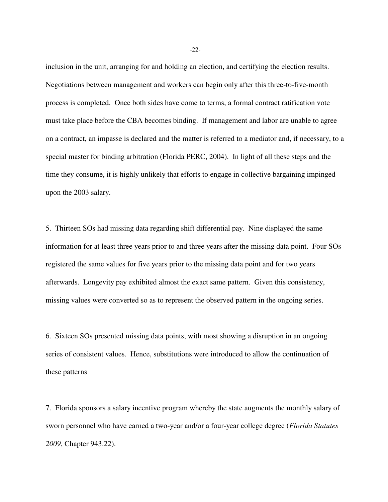inclusion in the unit, arranging for and holding an election, and certifying the election results. Negotiations between management and workers can begin only after this three-to-five-month process is completed. Once both sides have come to terms, a formal contract ratification vote must take place before the CBA becomes binding. If management and labor are unable to agree on a contract, an impasse is declared and the matter is referred to a mediator and, if necessary, to a special master for binding arbitration (Florida PERC, 2004). In light of all these steps and the time they consume, it is highly unlikely that efforts to engage in collective bargaining impinged upon the 2003 salary.

5. Thirteen SOs had missing data regarding shift differential pay. Nine displayed the same information for at least three years prior to and three years after the missing data point. Four SOs registered the same values for five years prior to the missing data point and for two years afterwards. Longevity pay exhibited almost the exact same pattern. Given this consistency, missing values were converted so as to represent the observed pattern in the ongoing series.

6. Sixteen SOs presented missing data points, with most showing a disruption in an ongoing series of consistent values. Hence, substitutions were introduced to allow the continuation of these patterns

7. Florida sponsors a salary incentive program whereby the state augments the monthly salary of sworn personnel who have earned a two-year and/or a four-year college degree (*Florida Statutes 2009*, Chapter 943.22).

-22-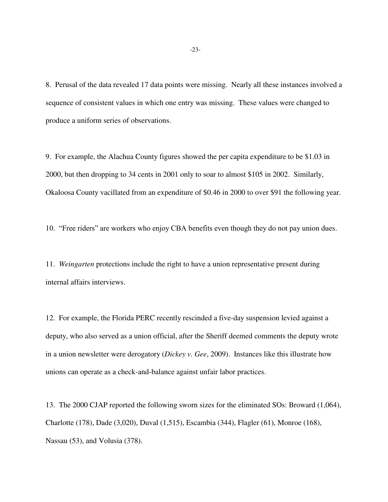8. Perusal of the data revealed 17 data points were missing. Nearly all these instances involved a sequence of consistent values in which one entry was missing. These values were changed to produce a uniform series of observations.

9. For example, the Alachua County figures showed the per capita expenditure to be \$1.03 in 2000, but then dropping to 34 cents in 2001 only to soar to almost \$105 in 2002. Similarly, Okaloosa County vacillated from an expenditure of \$0.46 in 2000 to over \$91 the following year.

10. "Free riders" are workers who enjoy CBA benefits even though they do not pay union dues.

11. *Weingarten* protections include the right to have a union representative present during internal affairs interviews.

12. For example, the Florida PERC recently rescinded a five-day suspension levied against a deputy, who also served as a union official, after the Sheriff deemed comments the deputy wrote in a union newsletter were derogatory (*Dickey v. Gee*, 2009). Instances like this illustrate how unions can operate as a check-and-balance against unfair labor practices.

13. The 2000 CJAP reported the following sworn sizes for the eliminated SOs: Broward (1,064), Charlotte (178), Dade (3,020), Duval (1,515), Escambia (344), Flagler (61), Monroe (168), Nassau (53), and Volusia (378).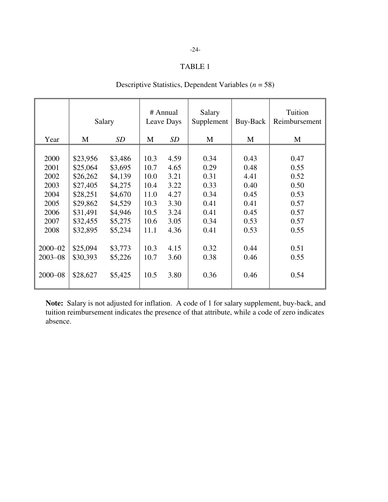# -24-

## TABLE 1

|             | Salary   |         | # Annual<br>Leave Days |      | Salary<br>Supplement | Buy-Back | Tuition<br>Reimbursement |
|-------------|----------|---------|------------------------|------|----------------------|----------|--------------------------|
| Year        | M        | SD      | M                      | SD   | M                    | M        | M                        |
|             |          |         |                        |      |                      |          |                          |
| 2000        | \$23,956 | \$3,486 | 10.3                   | 4.59 | 0.34                 | 0.43     | 0.47                     |
| 2001        | \$25,064 | \$3,695 | 10.7                   | 4.65 | 0.29                 | 0.48     | 0.55                     |
| 2002        | \$26,262 | \$4,139 | 10.0                   | 3.21 | 0.31                 | 4.41     | 0.52                     |
| 2003        | \$27,405 | \$4,275 | 10.4                   | 3.22 | 0.33                 | 0.40     | 0.50                     |
| 2004        | \$28,251 | \$4,670 | 11.0                   | 4.27 | 0.34                 | 0.45     | 0.53                     |
| 2005        | \$29,862 | \$4,529 | 10.3                   | 3.30 | 0.41                 | 0.41     | 0.57                     |
| 2006        | \$31,491 | \$4,946 | 10.5                   | 3.24 | 0.41                 | 0.45     | 0.57                     |
| 2007        | \$32,455 | \$5,275 | 10.6                   | 3.05 | 0.34                 | 0.53     | 0.57                     |
| 2008        | \$32,895 | \$5,234 | 11.1                   | 4.36 | 0.41                 | 0.53     | 0.55                     |
|             |          |         |                        |      |                      |          |                          |
| $2000 - 02$ | \$25,094 | \$3,773 | 10.3                   | 4.15 | 0.32                 | 0.44     | 0.51                     |
| $2003 - 08$ | \$30,393 | \$5,226 | 10.7                   | 3.60 | 0.38                 | 0.46     | 0.55                     |
|             |          |         |                        |      |                      |          |                          |
| 2000-08     | \$28,627 | \$5,425 | 10.5                   | 3.80 | 0.36                 | 0.46     | 0.54                     |
|             |          |         |                        |      |                      |          |                          |

# Descriptive Statistics, Dependent Variables (*n* = 58)

**Note:** Salary is not adjusted for inflation. A code of 1 for salary supplement, buy-back, and tuition reimbursement indicates the presence of that attribute, while a code of zero indicates absence.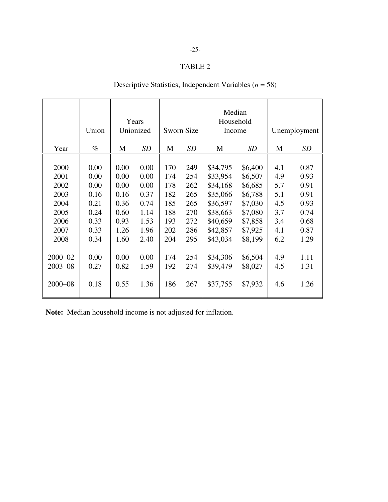### TABLE 2

# Descriptive Statistics, Independent Variables (*n* = 58)

|             | Union | Years<br>Unionized |      | Sworn Size |           | Median<br>Household<br>Income |         | Unemployment |           |  |
|-------------|-------|--------------------|------|------------|-----------|-------------------------------|---------|--------------|-----------|--|
| Year        | $\%$  | M                  | SD   | M          | <b>SD</b> | M                             | SD      | M            | <b>SD</b> |  |
|             |       |                    |      |            |           |                               |         |              |           |  |
| 2000        | 0.00  | 0.00               | 0.00 | 170        | 249       | \$34,795                      | \$6,400 | 4.1          | 0.87      |  |
| 2001        | 0.00  | 0.00               | 0.00 | 174        | 254       | \$33,954                      | \$6,507 | 4.9          | 0.93      |  |
| 2002        | 0.00  | 0.00               | 0.00 | 178        | 262       | \$34,168                      | \$6,685 | 5.7          | 0.91      |  |
| 2003        | 0.16  | 0.16               | 0.37 | 182        | 265       | \$35,066                      | \$6,788 | 5.1          | 0.91      |  |
| 2004        | 0.21  | 0.36               | 0.74 | 185        | 265       | \$36,597                      | \$7,030 | 4.5          | 0.93      |  |
| 2005        | 0.24  | 0.60               | 1.14 | 188        | 270       | \$38,663                      | \$7,080 | 3.7          | 0.74      |  |
| 2006        | 0.33  | 0.93               | 1.53 | 193        | 272       | \$40,659                      | \$7,858 | 3.4          | 0.68      |  |
| 2007        | 0.33  | 1.26               | 1.96 | 202        | 286       | \$42,857                      | \$7,925 | 4.1          | 0.87      |  |
| 2008        | 0.34  | 1.60               | 2.40 | 204        | 295       | \$43,034                      | \$8,199 | 6.2          | 1.29      |  |
|             |       |                    |      |            |           |                               |         |              |           |  |
| $2000 - 02$ | 0.00  | 0.00               | 0.00 | 174        | 254       | \$34,306                      | \$6,504 | 4.9          | 1.11      |  |
| $2003 - 08$ | 0.27  | 0.82               | 1.59 | 192        | 274       | \$39,479                      | \$8,027 | 4.5          | 1.31      |  |
| $2000 - 08$ | 0.18  | 0.55               | 1.36 | 186        | 267       | \$37,755                      | \$7,932 | 4.6          | 1.26      |  |

**Note:** Median household income is not adjusted for inflation.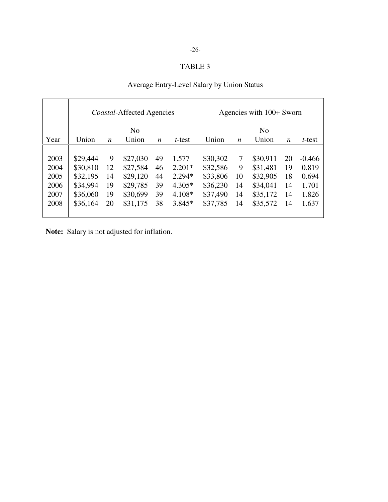# -26-

# TABLE 3

# Average Entry-Level Salary by Union Status

|      |          |                  | <i>Coastal-Affected Agencies</i> |    |          |          | Agencies with 100+ Sworn |          |                  |          |
|------|----------|------------------|----------------------------------|----|----------|----------|--------------------------|----------|------------------|----------|
|      |          |                  | N <sub>0</sub>                   |    |          |          | N <sub>0</sub>           |          |                  |          |
| Year | Union    | $\boldsymbol{n}$ | Union                            | n  | t-test   | Union    | $\boldsymbol{n}$         | Union    | $\boldsymbol{n}$ | t-test   |
|      |          |                  |                                  |    |          |          |                          |          |                  |          |
| 2003 | \$29,444 | 9                | \$27,030                         | 49 | 1.577    | \$30,302 | 7                        | \$30,911 | 20               | $-0.466$ |
| 2004 | \$30,810 | 12               | \$27,584                         | 46 | $2.201*$ | \$32,586 | 9                        | \$31,481 | 19               | 0.819    |
| 2005 | \$32,195 | 14               | \$29,120                         | 44 | $2.294*$ | \$33,806 | 10                       | \$32,905 | 18               | 0.694    |
| 2006 | \$34,994 | 19               | \$29,785                         | 39 | $4.305*$ | \$36,230 | 14                       | \$34,041 | 14               | 1.701    |
| 2007 | \$36,060 | 19               | \$30,699                         | 39 | $4.108*$ | \$37,490 | 14                       | \$35,172 | 14               | 1.826    |
| 2008 | \$36,164 | 20               | \$31,175                         | 38 | $3.845*$ | \$37,785 | 14                       | \$35,572 | 14               | 1.637    |
|      |          |                  |                                  |    |          |          |                          |          |                  |          |

**Note:** Salary is not adjusted for inflation.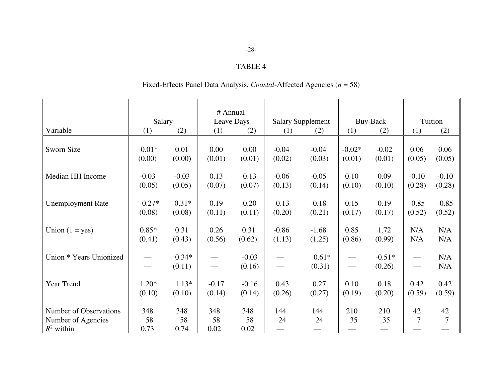# TABLE 4

# Fixed-Effects Panel Data Analysis, *Coastal*-Affected Agencies (*n* = 58)

| Variable                                                     | Salary<br>(1)     | (2)               | # Annual<br>Leave Days<br>(1)<br>(2) |                   | <b>Salary Supplement</b><br>(2)<br>(1) |                   | Buy-Back<br>(2)<br>(1) |                    | Tuition<br>(2)<br>(1) |            |
|--------------------------------------------------------------|-------------------|-------------------|--------------------------------------|-------------------|----------------------------------------|-------------------|------------------------|--------------------|-----------------------|------------|
| Sworn Size                                                   | $0.01*$           | 0.01              | 0.00                                 | 0.00              | $-0.04$                                | $-0.04$           | $-0.02*$               | $-0.02$            | 0.06                  | 0.06       |
|                                                              | (0.00)            | (0.00)            | (0.01)                               | (0.01)            | (0.02)                                 | (0.03)            | (0.01)                 | (0.01)             | (0.05)                | (0.05)     |
| Median HH Income                                             | $-0.03$           | $-0.03$           | 0.13                                 | 0.13              | $-0.06$                                | $-0.05$           | 0.10                   | 0.09               | $-0.10$               | $-0.10$    |
|                                                              | (0.05)            | (0.05)            | (0.07)                               | (0.07)            | (0.13)                                 | (0.14)            | (0.10)                 | (0.10)             | (0.28)                | (0.28)     |
| <b>Unemployment Rate</b>                                     | $-0.27*$          | $-0.31*$          | 0.19                                 | 0.20              | $-0.13$                                | $-0.18$           | 0.15                   | 0.19               | $-0.85$               | $-0.85$    |
|                                                              | (0.08)            | (0.08)            | (0.11)                               | (0.11)            | (0.20)                                 | (0.21)            | (0.17)                 | (0.17)             | (0.52)                | (0.52)     |
| Union $(1 = yes)$                                            | $0.85*$           | 0.31              | 0.26                                 | 0.31              | $-0.86$                                | $-1.68$           | 0.85                   | 1.72               | N/A                   | N/A        |
|                                                              | (0.41)            | (0.43)            | (0.56)                               | (0.62)            | (1.13)                                 | (1.25)            | (0.86)                 | (0.99)             | N/A                   | N/A        |
| Union * Years Unionized                                      |                   | $0.34*$<br>(0.11) |                                      | $-0.03$<br>(0.16) |                                        | $0.61*$<br>(0.31) | $\hspace{0.05cm}$      | $-0.51*$<br>(0.26) |                       | N/A<br>N/A |
| Year Trend                                                   | $1.20*$           | $1.13*$           | $-0.17$                              | $-0.16$           | 0.43                                   | 0.27              | 0.10                   | 0.18               | 0.42                  | 0.42       |
|                                                              | (0.10)            | (0.10)            | (0.14)                               | (0.14)            | (0.26)                                 | (0.27)            | (0.19)                 | (0.20)             | (0.59)                | (0.59)     |
| Number of Observations<br>Number of Agencies<br>$R^2$ within | 348<br>58<br>0.73 | 348<br>58<br>0.74 | 348<br>58<br>0.02                    | 348<br>58<br>0.02 | 144<br>24                              | 144<br>24         | 210<br>35              | 210<br>35          | 42<br>7               | 42<br>7    |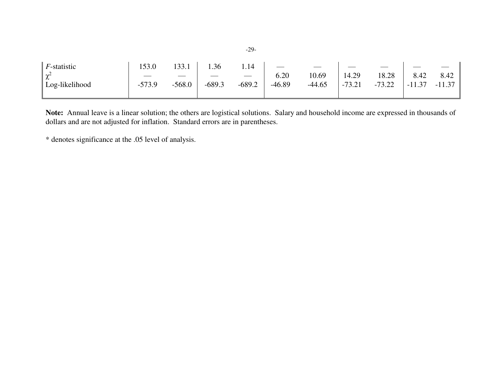| F-statistic     | 153.0    | 133.1                             | .36      | 1.14                     |        |          |          |          |          |          |
|-----------------|----------|-----------------------------------|----------|--------------------------|--------|----------|----------|----------|----------|----------|
| $\gamma^2$<br>∼ |          |                                   |          | $\overline{\phantom{a}}$ | 6.20   | 10.69    | 14.29    | 18.28    | 8.42     | 8.42     |
| Log-likelihood  | $-573.9$ | 568.0<br>$\overline{\phantom{0}}$ | $-689.3$ | $-689.2$                 | -46.89 | $-44.65$ | $-73.21$ | $-73.22$ | $-11.37$ | $-11.37$ |
|                 |          |                                   |          |                          |        |          |          |          |          |          |

**Note:** Annual leave is a linear solution; the others are logistical solutions. Salary and household income are expressed in thousands of dollars and are not adjusted for inflation. Standard errors are in parentheses.

\* denotes significance at the .05 level of analysis.

-29-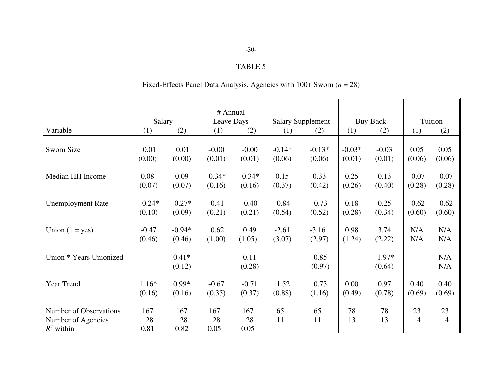# TABLE 5

# Fixed-Effects Panel Data Analysis, Agencies with 100+ Sworn (*n* = 28)

|                          |          |          | # Annual        |         |                          |          |                               |          |                   |         |
|--------------------------|----------|----------|-----------------|---------|--------------------------|----------|-------------------------------|----------|-------------------|---------|
|                          | Salary   |          | Leave Days      |         | <b>Salary Supplement</b> |          | Buy-Back                      |          | Tuition           |         |
| Variable                 | (1)      | (2)      | (1)             | (2)     | (1)                      | (2)      | (1)                           | (2)      | (1)               | (2)     |
|                          |          |          |                 |         |                          |          |                               |          |                   |         |
| Sworn Size               | 0.01     | 0.01     | $-0.00$         | $-0.00$ | $-0.14*$                 | $-0.13*$ | $-0.03*$                      | $-0.03$  | 0.05              | 0.05    |
|                          | (0.00)   | (0.00)   | (0.01)          | (0.01)  | (0.06)                   | (0.06)   | (0.01)                        | (0.01)   | (0.06)            | (0.06)  |
|                          |          |          |                 |         |                          |          |                               |          |                   |         |
| Median HH Income         | 0.08     | 0.09     | $0.34*$         | $0.34*$ | 0.15                     | 0.33     | 0.25                          | 0.13     | $-0.07$           | $-0.07$ |
|                          | (0.07)   | (0.07)   | (0.16)          | (0.16)  | (0.37)                   | (0.42)   | (0.26)                        | (0.40)   | (0.28)            | (0.28)  |
|                          |          |          |                 |         |                          |          |                               |          |                   |         |
| <b>Unemployment Rate</b> | $-0.24*$ | $-0.27*$ | 0.41            | 0.40    | $-0.84$                  | $-0.73$  | 0.18                          | 0.25     | $-0.62$           | $-0.62$ |
|                          | (0.10)   | (0.09)   | (0.21)          | (0.21)  | (0.54)                   | (0.52)   | (0.28)                        | (0.34)   | (0.60)            | (0.60)  |
|                          |          |          |                 |         |                          |          |                               |          |                   |         |
| Union $(1 = yes)$        | $-0.47$  | $-0.94*$ | 0.62            | 0.49    | $-2.61$                  | $-3.16$  | 0.98                          | 3.74     | N/A               | N/A     |
|                          | (0.46)   | (0.46)   | (1.00)          | (1.05)  | (3.07)                   |          |                               |          | N/A               | N/A     |
|                          |          |          |                 |         |                          | (2.97)   | (1.24)                        | (2.22)   |                   |         |
|                          |          | $0.41*$  |                 |         |                          |          |                               |          |                   |         |
| Union * Years Unionized  |          |          |                 | 0.11    |                          | 0.85     | $\qquad \qquad$               | $-1.97*$ | $\hspace{0.05cm}$ | N/A     |
|                          |          | (0.12)   | $\qquad \qquad$ | (0.28)  |                          | (0.97)   | $\overbrace{\phantom{aaaaa}}$ | (0.64)   | $\hspace{0.05cm}$ | N/A     |
|                          |          |          |                 |         |                          |          |                               |          |                   |         |
| Year Trend               | $1.16*$  | $0.99*$  | $-0.67$         | $-0.71$ | 1.52                     | 0.73     | 0.00                          | 0.97     | 0.40              | 0.40    |
|                          | (0.16)   | (0.16)   | (0.35)          | (0.37)  | (0.88)                   | (1.16)   | (0.49)                        | (0.78)   | (0.69)            | (0.69)  |
|                          |          |          |                 |         |                          |          |                               |          |                   |         |
| Number of Observations   | 167      | 167      | 167             | 167     | 65                       | 65       | 78                            | 78       | 23                | 23      |
| Number of Agencies       | 28       | 28       | 28              | 28      | 11                       | 11       | 13                            | 13       | 4                 | 4       |
| $R^2$ within             | 0.81     | 0.82     | 0.05            | 0.05    |                          |          |                               |          |                   |         |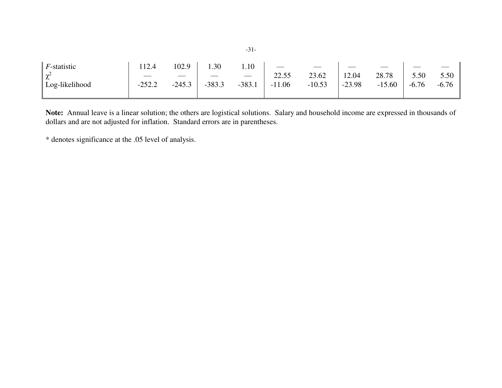| F-statistic    | 12.4     | 102.9    | 1.30     | 1.10     |          |          |          |          |         |         |
|----------------|----------|----------|----------|----------|----------|----------|----------|----------|---------|---------|
| $\chi^2$       |          |          |          |          | 22.55    | 23.62    | 12.04    | 28.78    | 5.50    | 5.50    |
| Log-likelihood | $-252.2$ | $-245.3$ | $-383.3$ | $-383.1$ | $-11.06$ | $-10.53$ | $-23.98$ | $-15.60$ | $-6.76$ | $-6.76$ |
|                |          |          |          |          |          |          |          |          |         |         |

**Note:** Annual leave is a linear solution; the others are logistical solutions. Salary and household income are expressed in thousands of dollars and are not adjusted for inflation. Standard errors are in parentheses.

\* denotes significance at the .05 level of analysis.

-31-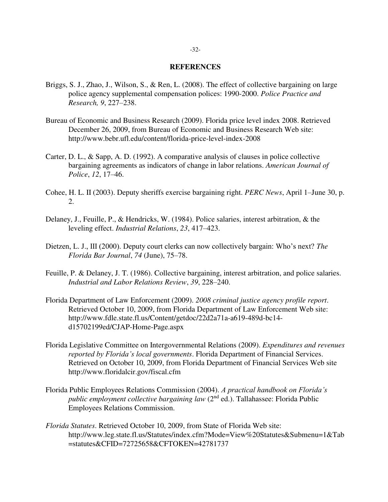#### **REFERENCES**

- Briggs, S. J., Zhao, J., Wilson, S., & Ren, L. (2008). The effect of collective bargaining on large police agency supplemental compensation polices: 1990-2000. *Police Practice and Research, 9*, 227–238.
- Bureau of Economic and Business Research (2009). Florida price level index 2008. Retrieved December 26, 2009, from Bureau of Economic and Business Research Web site: http://www.bebr.ufl.edu/content/florida-price-level-index-2008
- Carter, D. L., & Sapp, A. D. (1992). A comparative analysis of clauses in police collective bargaining agreements as indicators of change in labor relations. *American Journal of Police*, *12*, 17–46.
- Cohee, H. L. II (2003). Deputy sheriffs exercise bargaining right. *PERC News*, April 1–June 30, p. 2.
- Delaney, J., Feuille, P., & Hendricks, W. (1984). Police salaries, interest arbitration, & the leveling effect. *Industrial Relations*, *23*, 417–423.
- Dietzen, L. J., III (2000). Deputy court clerks can now collectively bargain: Who's next? *The Florida Bar Journal*, *74* (June), 75–78.
- Feuille, P. & Delaney, J. T. (1986). Collective bargaining, interest arbitration, and police salaries. *Industrial and Labor Relations Review*, *39*, 228–240.
- Florida Department of Law Enforcement (2009). *2008 criminal justice agency profile report*. Retrieved October 10, 2009, from Florida Department of Law Enforcement Web site: http://www.fdle.state.fl.us/Content/getdoc/22d2a71a-a619-489d-bc14 d15702199ed/CJAP-Home-Page.aspx
- Florida Legislative Committee on Intergovernmental Relations (2009). *Expenditures and revenues reported by Florida's local governments*. Florida Department of Financial Services. Retrieved on October 10, 2009, from Florida Department of Financial Services Web site http://www.floridalcir.gov/fiscal.cfm
- Florida Public Employees Relations Commission (2004). *A practical handbook on Florida's public employment collective bargaining law* (2nd ed.). Tallahassee: Florida Public Employees Relations Commission.
- *Florida Statutes*. Retrieved October 10, 2009, from State of Florida Web site: http://www.leg.state.fl.us/Statutes/index.cfm?Mode=View%20Statutes&Submenu=1&Tab =statutes&CFID=72725658&CFTOKEN=42781737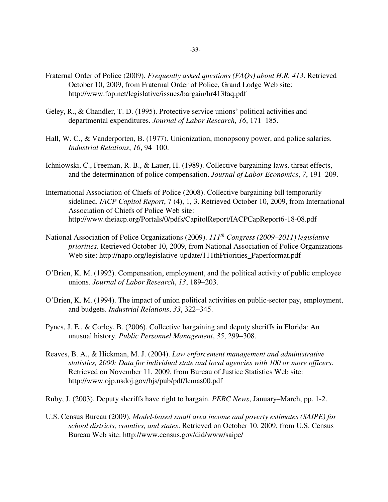- Fraternal Order of Police (2009). *Frequently asked questions (FAQs) about H.R. 413*. Retrieved October 10, 2009, from Fraternal Order of Police, Grand Lodge Web site: http://www.fop.net/legislative/issues/bargain/hr413faq.pdf
- Geley, R., & Chandler, T. D. (1995). Protective service unions' political activities and departmental expenditures. *Journal of Labor Research*, *16*, 171–185.
- Hall, W. C., & Vanderporten, B. (1977). Unionization, monopsony power, and police salaries. *Industrial Relations*, *16*, 94–100.
- Ichniowski, C., Freeman, R. B., & Lauer, H. (1989). Collective bargaining laws, threat effects, and the determination of police compensation. *Journal of Labor Economics*, *7*, 191–209.
- International Association of Chiefs of Police (2008). Collective bargaining bill temporarily sidelined. *IACP Capitol Report*, 7 (4), 1, 3. Retrieved October 10, 2009, from International Association of Chiefs of Police Web site: http://www.theiacp.org/Portals/0/pdfs/CapitolReport/IACPCapReport6-18-08.pdf
- National Association of Police Organizations (2009). *111th Congress (2009–2011) legislative priorities*. Retrieved October 10, 2009, from National Association of Police Organizations Web site: http://napo.org/legislative-update/111thPriorities\_Paperformat.pdf
- O'Brien, K. M. (1992). Compensation, employment, and the political activity of public employee unions. *Journal of Labor Research*, *13*, 189–203.
- O'Brien, K. M. (1994). The impact of union political activities on public-sector pay, employment, and budgets. *Industrial Relations*, *33*, 322–345.
- Pynes, J. E., & Corley, B. (2006). Collective bargaining and deputy sheriffs in Florida: An unusual history. *Public Personnel Management*, *35*, 299–308.
- Reaves, B. A., & Hickman, M. J. (2004). *Law enforcement management and administrative statistics, 2000: Data for individual state and local agencies with 100 or more officers*. Retrieved on November 11, 2009, from Bureau of Justice Statistics Web site: http://www.ojp.usdoj.gov/bjs/pub/pdf/lemas00.pdf
- Ruby, J. (2003). Deputy sheriffs have right to bargain. *PERC News*, January–March, pp. 1-2.
- U.S. Census Bureau (2009). *Model-based small area income and poverty estimates (SAIPE) for school districts, counties, and states*. Retrieved on October 10, 2009, from U.S. Census Bureau Web site: http://www.census.gov/did/www/saipe/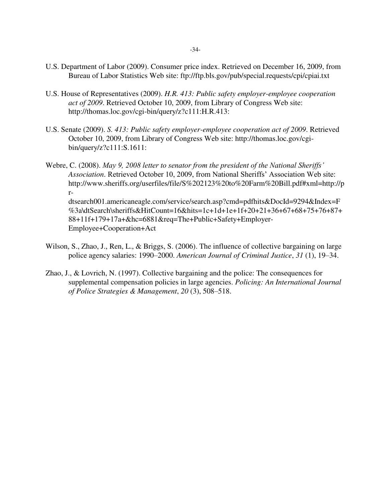- U.S. Department of Labor (2009). Consumer price index. Retrieved on December 16, 2009, from Bureau of Labor Statistics Web site: ftp://ftp.bls.gov/pub/special.requests/cpi/cpiai.txt
- U.S. House of Representatives (2009). *H.R. 413: Public safety employer-employee cooperation act of 2009*. Retrieved October 10, 2009, from Library of Congress Web site: http://thomas.loc.gov/cgi-bin/query/z?c111:H.R.413:
- U.S. Senate (2009). *S. 413: Public safety employer-employee cooperation act of 2009*. Retrieved October 10, 2009, from Library of Congress Web site: http://thomas.loc.gov/cgibin/query/z?c111:S.1611:
- Webre, C. (2008). *May 9, 2008 letter to senator from the president of the National Sheriffs' Association*. Retrieved October 10, 2009, from National Sheriffs' Association Web site: http://www.sheriffs.org/userfiles/file/S%202123%20to%20Farm%20Bill.pdf#xml=http://p rdtsearch001.americaneagle.com/service/search.asp?cmd=pdfhits&DocId=9294&Index=F %3a\dtSearch\sheriffs&HitCount=16&hits=1c+1d+1e+1f+20+21+36+67+68+75+76+87+ 88+11f+179+17a+&hc=6881&req=The+Public+Safety+Employer-Employee+Cooperation+Act
- Wilson, S., Zhao, J., Ren, L., & Briggs, S. (2006). The influence of collective bargaining on large police agency salaries: 1990–2000. *American Journal of Criminal Justice*, *31* (1), 19–34.
- Zhao, J., & Lovrich, N. (1997). Collective bargaining and the police: The consequences for supplemental compensation policies in large agencies. *Policing: An International Journal of Police Strategies & Management*, *20* (3), 508–518.